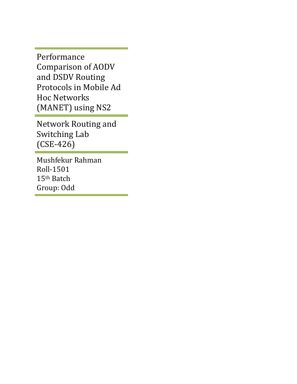Performance Comparison of AODV and DSDV Routing Protocols in Mobile Ad Hoc Networks (MANET) using NS2

Network Routing and Switching Lab (CSE-426)

Mushfekur Rahman Roll-1501 15<sup>th</sup> Batch Group: Odd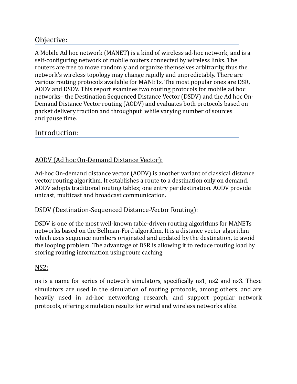# Objective:

A Mobile Ad hoc network (MANET) is a kind of wireless ad-hoc network, and is a self-configuring network of mobile routers connected by wireless links. The routers are free to move randomly and organize themselves arbitrarily, thus the network's wireless topology may change rapidly and unpredictably. There are various routing protocols available for MANETs. The most popular ones are DSR, AODV and DSDV. This report examines two routing protocols for mobile ad hoc networks– the Destination Sequenced Distance Vector (DSDV) and the Ad hoc On-Demand Distance Vector routing (AODV) and evaluates both protocols based on packet delivery fraction and throughput while varying number of sources and pause time.

# Introduction:

## AODV (Ad hoc On-Demand Distance Vector):

Ad-hoc On-demand distance vector (AODV) is another variant of classical distance vector routing algorithm. It establishes a route to a destination only on demand. AODV adopts traditional routing tables; one entry per destination. AODV provide unicast, multicast and broadcast communication.

#### **DSDV** (Destination-Sequenced Distance-Vector Routing):

DSDV is one of the most well-known table-driven routing algorithms for MANETs networks based on the Bellman-Ford algorithm. It is a distance vector algorithm which uses sequence numbers originated and updated by the destination, to avoid the looping problem. The advantage of DSR is allowing it to reduce routing load by storing routing information using route caching.

#### NS2:

ns is a name for series of network simulators, specifically ns1, ns2 and ns3. These simulators are used in the simulation of routing protocols, among others, and are heavily used in ad-hoc networking research, and support popular network protocols, offering simulation results for wired and wireless networks alike.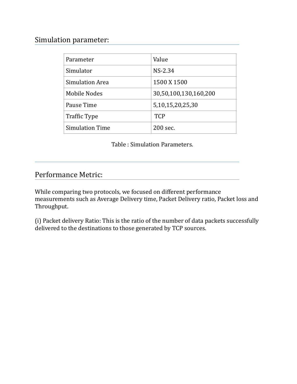## Simulation parameter:

| Parameter              | Value                 |
|------------------------|-----------------------|
| Simulator              | $NS-2.34$             |
| <b>Simulation Area</b> | 1500 X 1500           |
| <b>Mobile Nodes</b>    | 30,50,100,130,160,200 |
| Pause Time             | 5,10,15,20,25,30      |
| <b>Traffic Type</b>    | <b>TCP</b>            |
| <b>Simulation Time</b> | 200 sec.              |

Table : Simulation Parameters.

# Performance Metric:

While comparing two protocols, we focused on different performance measurements such as Average Delivery time, Packet Delivery ratio, Packet loss and Throughput. 

(i) Packet delivery Ratio: This is the ratio of the number of data packets successfully delivered to the destinations to those generated by TCP sources.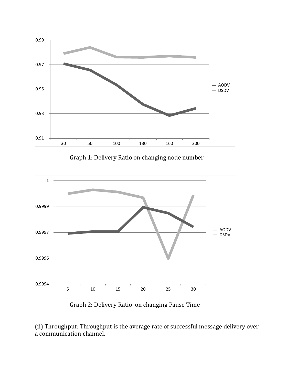

Graph 1: Delivery Ratio on changing node number



Graph 2: Delivery Ratio on changing Pause Time

(ii) Throughput: Throughput is the average rate of successful message delivery over a communication channel.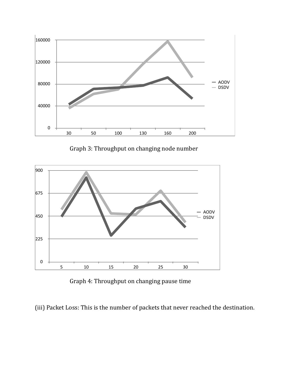

Graph 3: Throughput on changing node number



Graph 4: Throughput on changing pause time

(iii) Packet Loss: This is the number of packets that never reached the destination.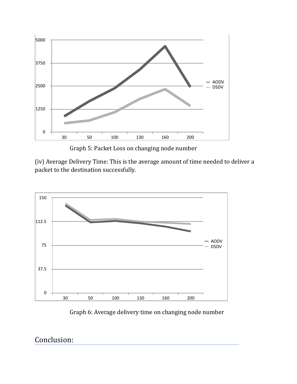

Graph 5: Packet Loss on changing node number

(iv) Average Delivery Time: This is the average amount of time needed to deliver a packet to the destination successfully.



Graph 6: Average delivery time on changing node number

Conclusion: